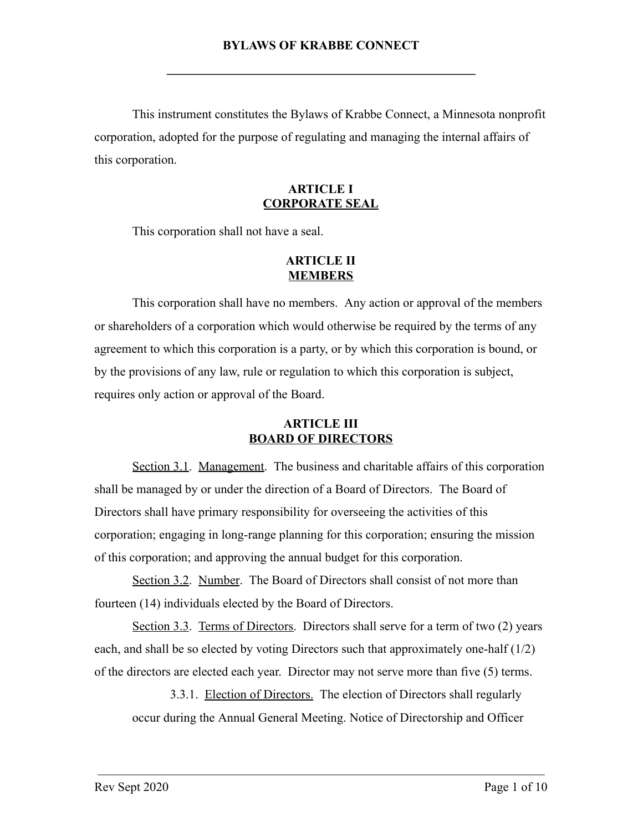This instrument constitutes the Bylaws of Krabbe Connect, a Minnesota nonprofit corporation, adopted for the purpose of regulating and managing the internal affairs of this corporation.

### **ARTICLE I CORPORATE SEAL**

This corporation shall not have a seal.

## **ARTICLE II MEMBERS**

This corporation shall have no members. Any action or approval of the members or shareholders of a corporation which would otherwise be required by the terms of any agreement to which this corporation is a party, or by which this corporation is bound, or by the provisions of any law, rule or regulation to which this corporation is subject, requires only action or approval of the Board.

## **ARTICLE III BOARD OF DIRECTORS**

Section 3.1. Management. The business and charitable affairs of this corporation shall be managed by or under the direction of a Board of Directors. The Board of Directors shall have primary responsibility for overseeing the activities of this corporation; engaging in long-range planning for this corporation; ensuring the mission of this corporation; and approving the annual budget for this corporation.

Section 3.2. Number. The Board of Directors shall consist of not more than fourteen (14) individuals elected by the Board of Directors.

Section 3.3. Terms of Directors. Directors shall serve for a term of two (2) years each, and shall be so elected by voting Directors such that approximately one-half (1/2) of the directors are elected each year. Director may not serve more than five (5) terms.

3.3.1. Election of Directors. The election of Directors shall regularly occur during the Annual General Meeting. Notice of Directorship and Officer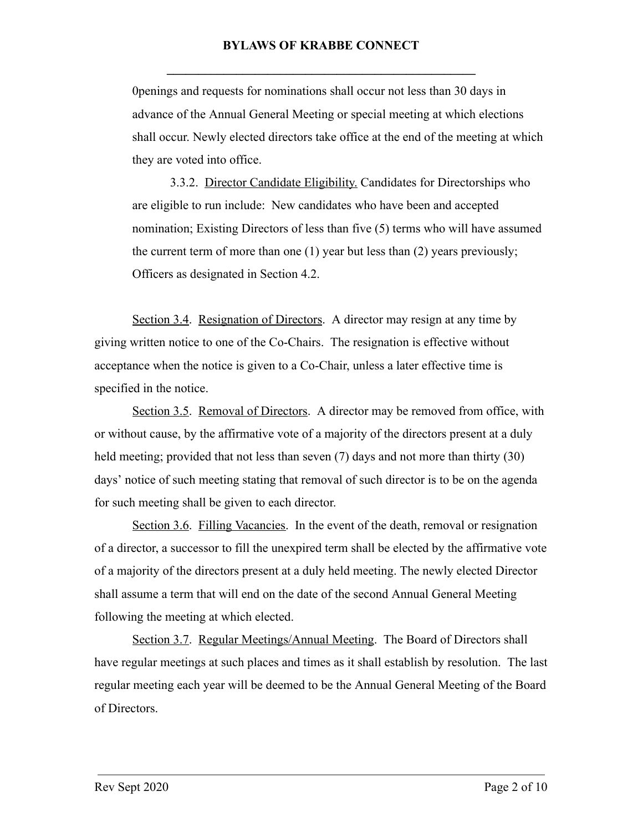0penings and requests for nominations shall occur not less than 30 days in advance of the Annual General Meeting or special meeting at which elections shall occur. Newly elected directors take office at the end of the meeting at which they are voted into office.

3.3.2. Director Candidate Eligibility. Candidates for Directorships who are eligible to run include: New candidates who have been and accepted nomination; Existing Directors of less than five (5) terms who will have assumed the current term of more than one (1) year but less than (2) years previously; Officers as designated in Section 4.2.

Section 3.4. Resignation of Directors. A director may resign at any time by giving written notice to one of the Co-Chairs. The resignation is effective without acceptance when the notice is given to a Co-Chair, unless a later effective time is specified in the notice.

Section 3.5. Removal of Directors. A director may be removed from office, with or without cause, by the affirmative vote of a majority of the directors present at a duly held meeting; provided that not less than seven (7) days and not more than thirty (30) days' notice of such meeting stating that removal of such director is to be on the agenda for such meeting shall be given to each director.

Section 3.6. Filling Vacancies. In the event of the death, removal or resignation of a director, a successor to fill the unexpired term shall be elected by the affirmative vote of a majority of the directors present at a duly held meeting. The newly elected Director shall assume a term that will end on the date of the second Annual General Meeting following the meeting at which elected.

Section 3.7. Regular Meetings/Annual Meeting. The Board of Directors shall have regular meetings at such places and times as it shall establish by resolution. The last regular meeting each year will be deemed to be the Annual General Meeting of the Board of Directors.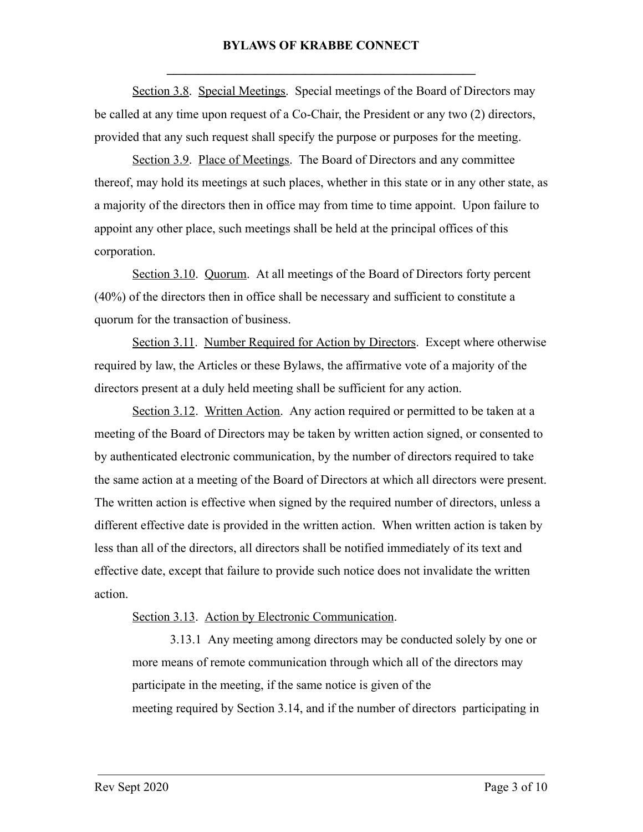Section 3.8. Special Meetings. Special meetings of the Board of Directors may be called at any time upon request of a Co-Chair, the President or any two (2) directors, provided that any such request shall specify the purpose or purposes for the meeting.

Section 3.9. Place of Meetings. The Board of Directors and any committee thereof, may hold its meetings at such places, whether in this state or in any other state, as a majority of the directors then in office may from time to time appoint. Upon failure to appoint any other place, such meetings shall be held at the principal offices of this corporation.

Section 3.10 . Quorum . At all meetings of the Board of Directors forty percent (40%) of the directors then in office shall be necessary and sufficient to constitute a quorum for the transaction of business.

Section 3.11 . Number Required for Action by Directors . Except where otherwise required by law, the Articles or these Bylaws, the affirmative vote of a majority of the directors present at a duly held meeting shall be sufficient for any action.

Section 3.12. Written Action. Any action required or permitted to be taken at a meeting of the Board of Directors may be taken by written action signed, or consented to by authenticated electronic communication, by the number of directors required to take the same action at a meeting of the Board of Directors at which all directors were present. The written action is effective when signed by the required number of directors, unless a different effective date is provided in the written action. When written action is taken by less than all of the directors, all directors shall be notified immediately of its text and effective date, except that failure to provide such notice does not invalidate the written action.

Section 3.13. Action by Electronic Communication.

3.13.1 Any meeting among directors may be conducted solely by one or more means of remote communication through which all of the directors may participate in the meeting, if the same notice is given of the meeting required by Section 3.14, and if the number of directors participating in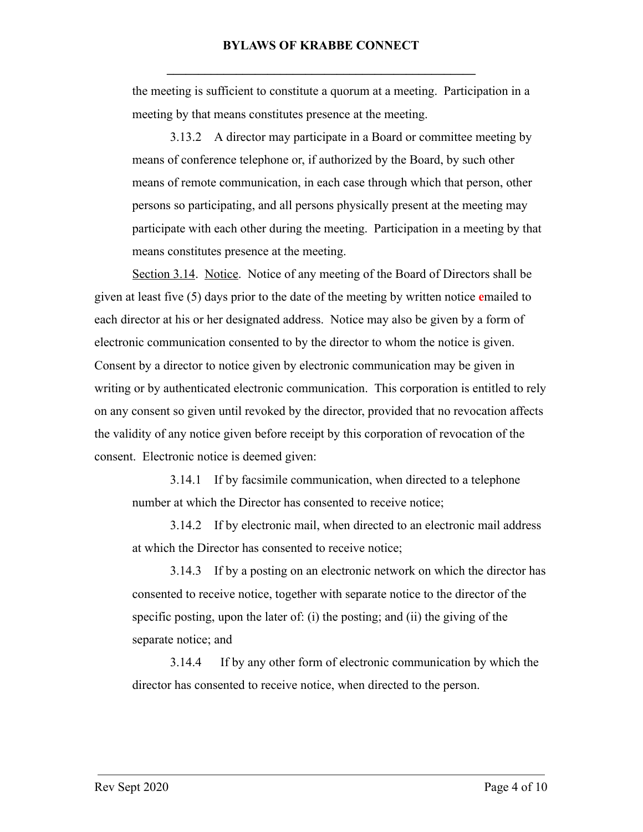the meeting is sufficient to constitute a quorum at a meeting. Participation in a meeting by that means constitutes presence at the meeting.

3.13.2 A director may participate in a Board or committee meeting by means of conference telephone or, if authorized by the Board, by such other means of remote communication, in each case through which that person, other persons so participating, and all persons physically present at the meeting may participate with each other during the meeting. Participation in a meeting by that means constitutes presence at the meeting.

Section 3.14 . Notice . Notice of any meeting of the Board of Directors shall be given at least five (5) days prior to the date of the meeting by written notice emailed to each director at his or her designated address. Notice may also be given by a form of electronic communication consented to by the director to whom the notice is given. Consent by a director to notice given by electronic communication may be given in writing or by authenticated electronic communication. This corporation is entitled to rely on any consent so given until revoked by the director, provided that no revocation affects the validity of any notice given before receipt by this corporation of revocation of the consent. Electronic notice is deemed given:

3.14.1 If by facsimile communication, when directed to a telephone number at which the Director has consented to receive notice;

3.14.2 If by electronic mail, when directed to an electronic mail address at which the Director has consented to receive notice;

3.14.3 If by a posting on an electronic network on which the director has consented to receive notice, together with separate notice to the director of the specific posting, upon the later of: (i) the posting; and (ii) the giving of the separate notice; and

3.14.4 If by any other form of electronic communication by which the director has consented to receive notice, when directed to the person.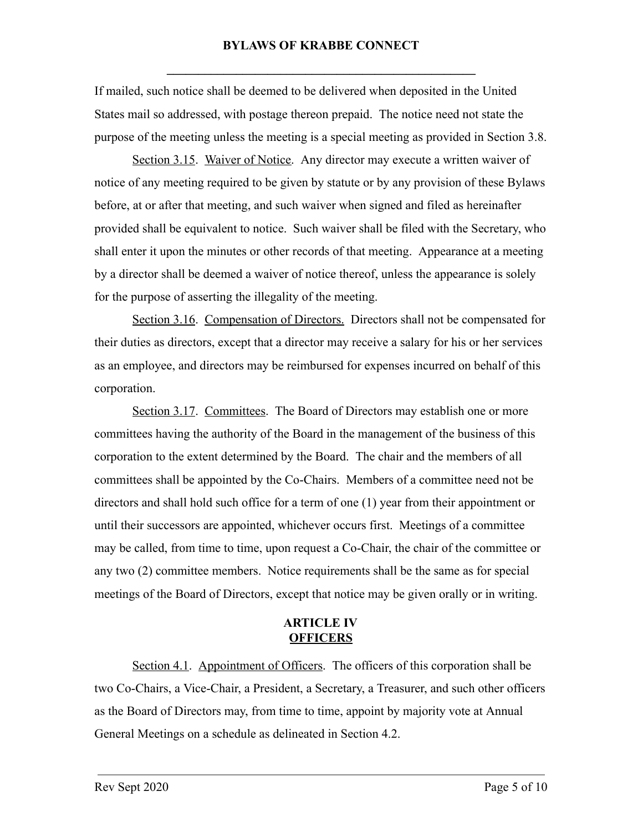If mailed, such notice shall be deemed to be delivered when deposited in the United States mail so addressed, with postage thereon prepaid. The notice need not state the purpose of the meeting unless the meeting is a special meeting as provided in Section 3.8.

Section 3.15. Waiver of Notice. Any director may execute a written waiver of notice of any meeting required to be given by statute or by any provision of these Bylaws before, at or after that meeting, and such waiver when signed and filed as hereinafter provided shall be equivalent to notice. Such waiver shall be filed with the Secretary, who shall enter it upon the minutes or other records of that meeting. Appearance at a meeting by a director shall be deemed a waiver of notice thereof, unless the appearance is solely for the purpose of asserting the illegality of the meeting.

Section 3.16. Compensation of Directors. Directors shall not be compensated for their duties as directors, except that a director may receive a salary for his or her services as an employee, and directors may be reimbursed for expenses incurred on behalf of this corporation.

Section 3.17. Committees. The Board of Directors may establish one or more committees having the authority of the Board in the management of the business of this corporation to the extent determined by the Board. The chair and the members of all committees shall be appointed by the Co-Chairs. Members of a committee need not be directors and shall hold such office for a term of one (1) year from their appointment or until their successors are appointed, whichever occurs first. Meetings of a committee may be called, from time to time, upon request a Co-Chair, the chair of the committee or any two (2) committee members. Notice requirements shall be the same as for special meetings of the Board of Directors, except that notice may be given orally or in writing.

### **ARTICLE IV OFFICERS**

Section 4.1. Appointment of Officers. The officers of this corporation shall be two Co-Chairs, a Vice-Chair, a President, a Secretary, a Treasurer, and such other officers as the Board of Directors may, from time to time, appoint by majority vote at Annual General Meetings on a schedule as delineated in Section 4.2.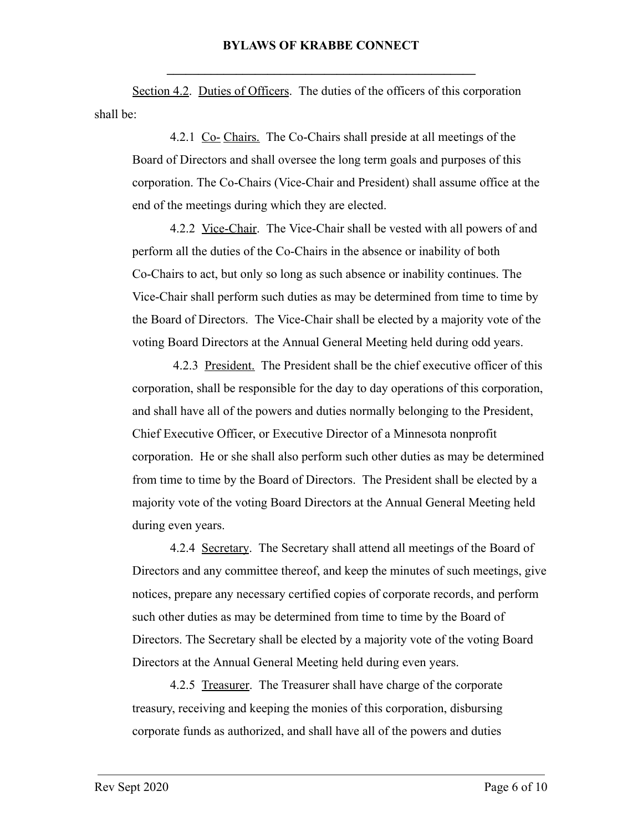Section 4.2. Duties of Officers. The duties of the officers of this corporation shall be:

4.2.1 Co- Chairs. The Co-Chairs shall preside at all meetings of the Board of Directors and shall oversee the long term goals and purposes of this corporation. The Co-Chairs (Vice-Chair and President) shall assume office at the end of the meetings during which they are elected.

4.2.2 Vice-Chair. The Vice-Chair shall be vested with all powers of and perform all the duties of the Co-Chairs in the absence or inability of both Co-Chairs to act, but only so long as such absence or inability continues. The Vice-Chair shall perform such duties as may be determined from time to time by the Board of Directors. The Vice-Chair shall be elected by a majority vote of the voting Board Directors at the Annual General Meeting held during odd years.

 4.2.3 President. The President shall be the chief executive officer of this corporation, shall be responsible for the day to day operations of this corporation, and shall have all of the powers and duties normally belonging to the President, Chief Executive Officer, or Executive Director of a Minnesota nonprofit corporation. He or she shall also perform such other duties as may be determined from time to time by the Board of Directors. The President shall be elected by a majority vote of the voting Board Directors at the Annual General Meeting held during even years.

4.2.4 Secretary. The Secretary shall attend all meetings of the Board of Directors and any committee thereof, and keep the minutes of such meetings, give notices, prepare any necessary certified copies of corporate records, and perform such other duties as may be determined from time to time by the Board of Directors. The Secretary shall be elected by a majority vote of the voting Board Directors at the Annual General Meeting held during even years.

4.2.5 Treasurer. The Treasurer shall have charge of the corporate treasury, receiving and keeping the monies of this corporation, disbursing corporate funds as authorized, and shall have all of the powers and duties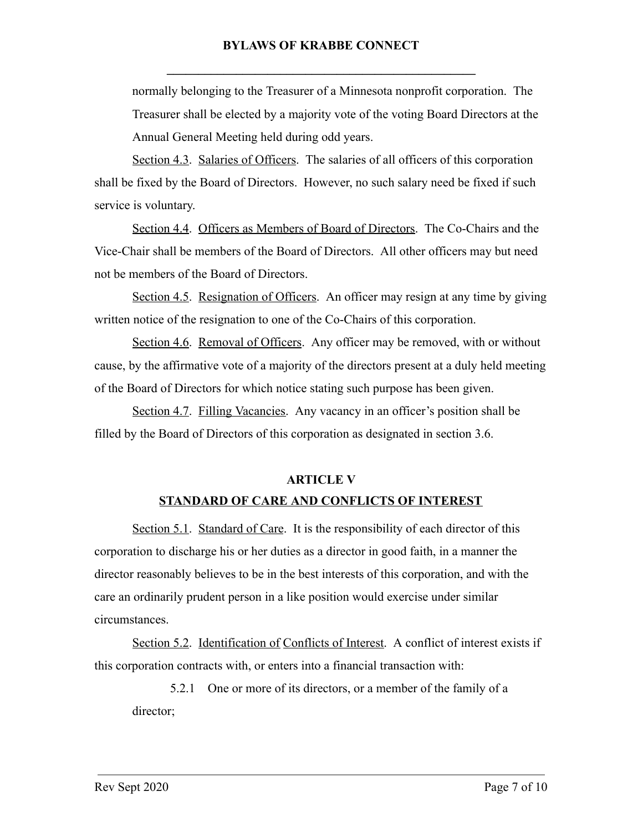normally belonging to the Treasurer of a Minnesota nonprofit corporation. The Treasurer shall be elected by a majority vote of the voting Board Directors at the Annual General Meeting held during odd years.

Section 4.3. Salaries of Officers. The salaries of all officers of this corporation shall be fixed by the Board of Directors. However, no such salary need be fixed if such service is voluntary.

Section 4.4 . Officers as Members of Board of Directors . The Co-Chairs and the Vice-Chair shall be members of the Board of Directors. All other officers may but need not be members of the Board of Directors.

Section 4.5. Resignation of Officers. An officer may resign at any time by giving written notice of the resignation to one of the Co-Chairs of this corporation.

Section 4.6. Removal of Officers. Any officer may be removed, with or without cause, by the affirmative vote of a majority of the directors present at a duly held meeting of the Board of Directors for which notice stating such purpose has been given.

Section 4.7. Filling Vacancies. Any vacancy in an officer's position shall be filled by the Board of Directors of this corporation as designated in section 3.6.

## **ARTICLE V**

### **STANDARD OF CARE AND CONFLICTS OF INTEREST**

Section 5.1. Standard of Care. It is the responsibility of each director of this corporation to discharge his or her duties as a director in good faith, in a manner the director reasonably believes to be in the best interests of this corporation, and with the care an ordinarily prudent person in a like position would exercise under similar circumstances.

Section 5.2 . Identification of Conflicts of Interest . A conflict of interest exists if this corporation contracts with, or enters into a financial transaction with:

5.2.1 One or more of its directors, or a member of the family of a director;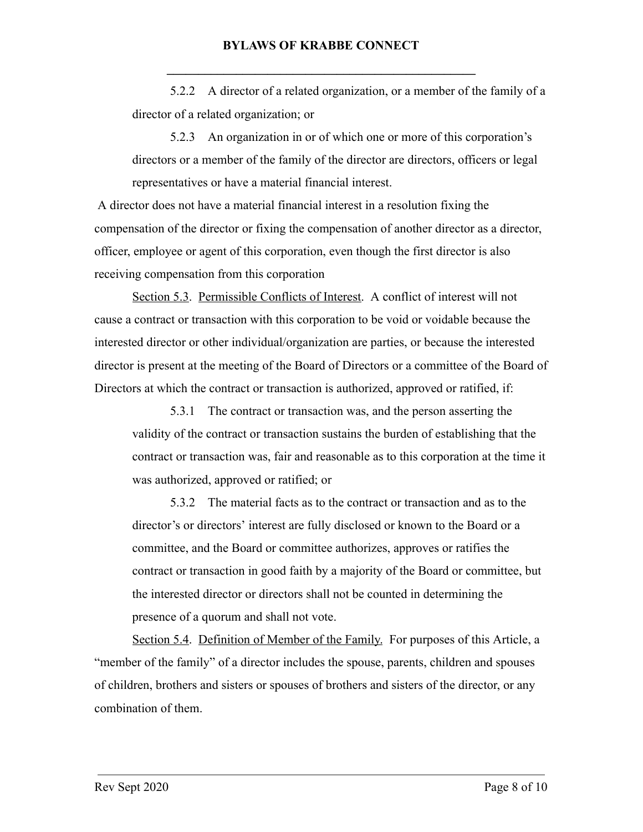5.2.2 A director of a related organization, or a member of the family of a director of a related organization; or

5.2.3 An organization in or of which one or more of this corporation's directors or a member of the family of the director are directors, officers or legal representatives or have a material financial interest.

 A director does not have a material financial interest in a resolution fixing the compensation of the director or fixing the compensation of another director as a director, officer, employee or agent of this corporation, even though the first director is also receiving compensation from this corporation

Section 5.3 . Permissible Conflicts of Interest . A conflict of interest will not cause a contract or transaction with this corporation to be void or voidable because the interested director or other individual/organization are parties, or because the interested director is present at the meeting of the Board of Directors or a committee of the Board of Directors at which the contract or transaction is authorized, approved or ratified, if:

5.3.1 The contract or transaction was, and the person asserting the validity of the contract or transaction sustains the burden of establishing that the contract or transaction was, fair and reasonable as to this corporation at the time it was authorized, approved or ratified; or

5.3.2 The material facts as to the contract or transaction and as to the director's or directors' interest are fully disclosed or known to the Board or a committee, and the Board or committee authorizes, approves or ratifies the contract or transaction in good faith by a majority of the Board or committee, but the interested director or directors shall not be counted in determining the presence of a quorum and shall not vote.

Section 5.4. Definition of Member of the Family. For purposes of this Article, a "member of the family" of a director includes the spouse, parents, children and spouses of children, brothers and sisters or spouses of brothers and sisters of the director, or any combination of them.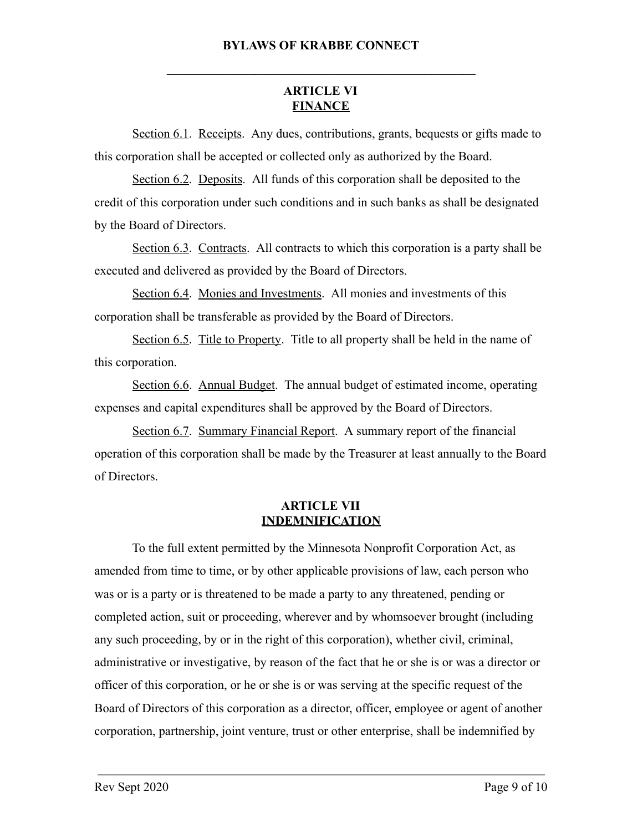# **ARTICLE VI FINANCE**

**\_\_\_\_\_\_\_\_\_\_\_\_\_\_\_\_\_\_\_\_\_\_\_\_\_\_\_\_\_\_\_\_\_\_\_\_\_\_\_\_\_\_\_\_\_\_\_\_\_** 

Section 6.1. Receipts. Any dues, contributions, grants, bequests or gifts made to this corporation shall be accepted or collected only as authorized by the Board.

Section 6.2. Deposits. All funds of this corporation shall be deposited to the credit of this corporation under such conditions and in such banks as shall be designated by the Board of Directors.

Section 6.3. Contracts. All contracts to which this corporation is a party shall be executed and delivered as provided by the Board of Directors.

Section 6.4 . Monies and Investments . All monies and investments of this corporation shall be transferable as provided by the Board of Directors.

Section 6.5. Title to Property. Title to all property shall be held in the name of this corporation.

Section 6.6 . Annual Budget . The annual budget of estimated income, operating expenses and capital expenditures shall be approved by the Board of Directors.

Section 6.7. Summary Financial Report. A summary report of the financial operation of this corporation shall be made by the Treasurer at least annually to the Board of Directors.

### **ARTICLE VII INDEMNIFICATION**

To the full extent permitted by the Minnesota Nonprofit Corporation Act, as amended from time to time, or by other applicable provisions of law, each person who was or is a party or is threatened to be made a party to any threatened, pending or completed action, suit or proceeding, wherever and by whomsoever brought (including any such proceeding, by or in the right of this corporation), whether civil, criminal, administrative or investigative, by reason of the fact that he or she is or was a director or officer of this corporation, or he or she is or was serving at the specific request of the Board of Directors of this corporation as a director, officer, employee or agent of another corporation, partnership, joint venture, trust or other enterprise, shall be indemnified by